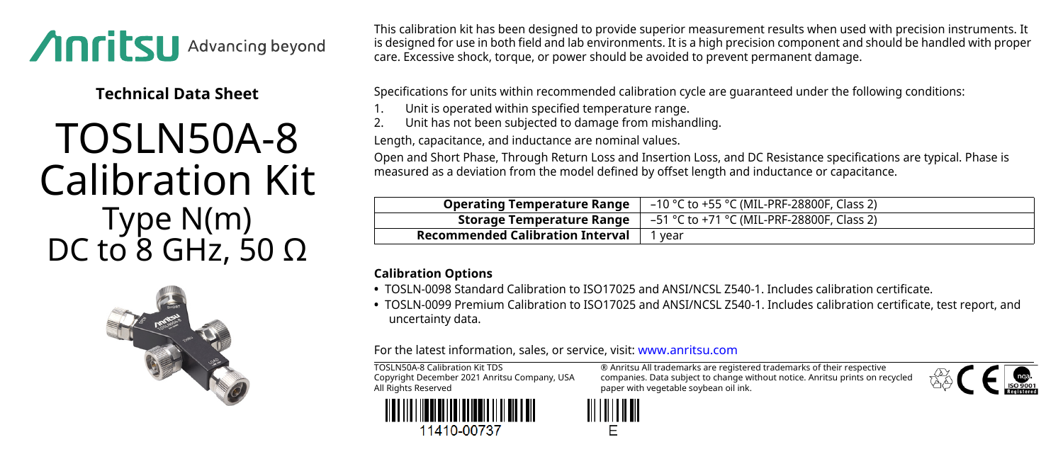

**Technical Data Sheet**

## TOSLN50A-8 Calibration Kit Type N(m) DC to  $8$  GHz, 50 Ω



This calibration kit has been designed to provide superior measurement results when used with precision instruments. It is designed for use in both field and lab environments. It is a high precision component and should be handled with proper care. Excessive shock, torque, or power should be avoided to prevent permanent damage.

Specifications for units within recommended calibration cycle are guaranteed under the following conditions:

- 1. Unit is operated within specified temperature range.<br>2. Unit has not been subjected to damage from mishar
- 2. Unit has not been subjected to damage from mishandling.

Length, capacitance, and inductance are nominal values.

Open and Short Phase, Through Return Loss and Insertion Loss, and DC Resistance specifications are typical. Phase is measured as a deviation from the model defined by offset length and inductance or capacitance.

| <b>Operating Temperature Range</b> | –10 °C to +55 °C (MIL-PRF-28800F, Class 2)                                                          |
|------------------------------------|-----------------------------------------------------------------------------------------------------|
|                                    | <b>Storage Temperature Range</b> $\vert -51 \degree$ C to +71 $\degree$ C (MIL-PRF-28800F, Class 2) |
| Recommended Calibration Interval   | 1 year                                                                                              |

## **Calibration Options**

- **•** TOSLN-0098 Standard Calibration to ISO17025 and ANSI/NCSL Z540-1. Includes calibration certificate.
- **•** TOSLN-0099 Premium Calibration to ISO17025 and ANSI/NCSL Z540-1. Includes calibration certificate, test report, and uncertainty data.

For the latest information, sales, or service, visit: [www.anritsu.com](http://www.anritsu.com)

TOSLN50A-8 Calibration Kit TDS Copyright December 2021 Anritsu Company, USA All Rights Reserved



® Anritsu All trademarks are registered trademarks of their respective companies. Data subject to change without notice. Anritsu prints on recycled paper with vegetable soybean oil ink.